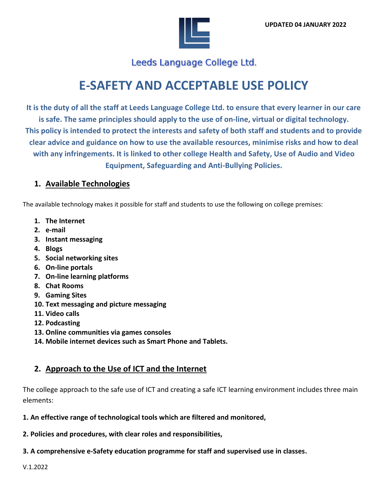

Leeds Language College Ltd.

# **E-SAFETY AND ACCEPTABLE USE POLICY**

**It is the duty of all the staff at Leeds Language College Ltd. to ensure that every learner in our care is safe. The same principles should apply to the use of on-line, virtual or digital technology. This policy is intended to protect the interests and safety of both staff and students and to provide clear advice and guidance on how to use the available resources, minimise risks and how to deal with any infringements. It is linked to other college Health and Safety, Use of Audio and Video Equipment, Safeguarding and Anti-Bullying Policies.**

## **1. Available Technologies**

The available technology makes it possible for staff and students to use the following on college premises:

- **1. The Internet**
- **2. e-mail**
- **3. Instant messaging**
- **4. Blogs**
- **5. Social networking sites**
- **6. On-line portals**
- **7. On-line learning platforms**
- **8. Chat Rooms**
- **9. Gaming Sites**
- **10. Text messaging and picture messaging**
- **11. Video calls**
- **12. Podcasting**
- **13. Online communities via games consoles**
- **14. Mobile internet devices such as Smart Phone and Tablets.**

# **2. Approach to the Use of ICT and the Internet**

The college approach to the safe use of ICT and creating a safe ICT learning environment includes three main elements:

**1. An effective range of technological tools which are filtered and monitored,**

**2. Policies and procedures, with clear roles and responsibilities,**

**3. A comprehensive e-Safety education programme for staff and supervised use in classes.**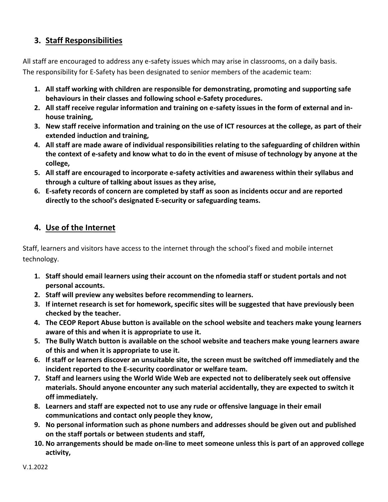# **3. Staff Responsibilities**

All staff are encouraged to address any e-safety issues which may arise in classrooms, on a daily basis. The responsibility for E-Safety has been designated to senior members of the academic team:

- **1. All staff working with children are responsible for demonstrating, promoting and supporting safe behaviours in their classes and following school e-Safety procedures.**
- **2. All staff receive regular information and training on e-safety issues in the form of external and inhouse training,**
- **3. New staff receive information and training on the use of ICT resources at the college, as part of their extended induction and training,**
- **4. All staff are made aware of individual responsibilities relating to the safeguarding of children within the context of e-safety and know what to do in the event of misuse of technology by anyone at the college,**
- **5. All staff are encouraged to incorporate e-safety activities and awareness within their syllabus and through a culture of talking about issues as they arise,**
- **6. E-safety records of concern are completed by staff as soon as incidents occur and are reported directly to the school's designated E-security or safeguarding teams.**

# **4. Use of the Internet**

Staff, learners and visitors have access to the internet through the school's fixed and mobile internet technology.

- **1. Staff should email learners using their account on the nfomedia staff or student portals and not personal accounts.**
- **2. Staff will preview any websites before recommending to learners.**
- **3. If internet research is set for homework, specific sites will be suggested that have previously been checked by the teacher.**
- **4. The CEOP Report Abuse button is available on the school website and teachers make young learners aware of this and when it is appropriate to use it.**
- **5. The Bully Watch button is available on the school website and teachers make young learners aware of this and when it is appropriate to use it.**
- **6. If staff or learners discover an unsuitable site, the screen must be switched off immediately and the incident reported to the E-security coordinator or welfare team.**
- **7. Staff and learners using the World Wide Web are expected not to deliberately seek out offensive materials. Should anyone encounter any such material accidentally, they are expected to switch it off immediately.**
- **8. Learners and staff are expected not to use any rude or offensive language in their email communications and contact only people they know,**
- **9. No personal information such as phone numbers and addresses should be given out and published on the staff portals or between students and staff,**
- **10. No arrangements should be made on-line to meet someone unless this is part of an approved college activity,**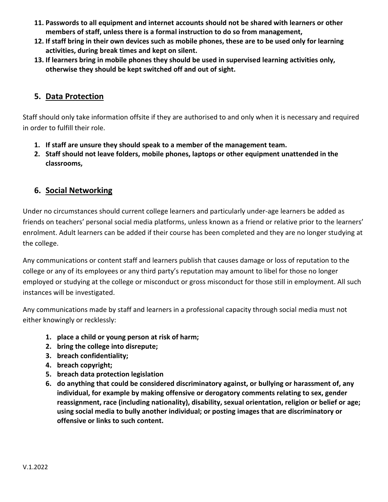- **11. Passwords to all equipment and internet accounts should not be shared with learners or other members of staff, unless there is a formal instruction to do so from management,**
- **12. If staff bring in their own devices such as mobile phones, these are to be used only for learning activities, during break times and kept on silent.**
- **13. If learners bring in mobile phones they should be used in supervised learning activities only, otherwise they should be kept switched off and out of sight.**

#### **5. Data Protection**

Staff should only take information offsite if they are authorised to and only when it is necessary and required in order to fulfill their role.

- **1. If staff are unsure they should speak to a member of the management team.**
- **2. Staff should not leave folders, mobile phones, laptops or other equipment unattended in the classrooms,**

#### **6. Social Networking**

Under no circumstances should current college learners and particularly under-age learners be added as friends on teachers' personal social media platforms, unless known as a friend or relative prior to the learners' enrolment. Adult learners can be added if their course has been completed and they are no longer studying at the college.

Any communications or content staff and learners publish that causes damage or loss of reputation to the college or any of its employees or any third party's reputation may amount to libel for those no longer employed or studying at the college or misconduct or gross misconduct for those still in employment. All such instances will be investigated.

Any communications made by staff and learners in a professional capacity through social media must not either knowingly or recklessly:

- **1. place a child or young person at risk of harm;**
- **2. bring the college into disrepute;**
- **3. breach confidentiality;**
- **4. breach copyright;**
- **5. breach data protection legislation**
- **6. do anything that could be considered discriminatory against, or bullying or harassment of, any individual, for example by making offensive or derogatory comments relating to sex, gender reassignment, race (including nationality), disability, sexual orientation, religion or belief or age; using social media to bully another individual; or posting images that are discriminatory or offensive or links to such content.**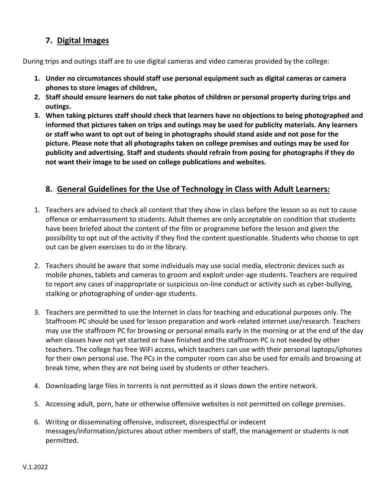## **7. Digital Images**

During trips and outings staff are to use digital cameras and video cameras provided by the college:

- **1. Under no circumstances should staff use personal equipment such as digital cameras or camera phones to store images of children,**
- **2. Staff should ensure learners do not take photos of children or personal property during trips and outings.**
- **3. When taking pictures staff should check that learners have no objections to being photographed and informed that pictures taken on trips and outings may be used for publicity materials. Any learners or staff who want to opt out of being in photographs should stand aside and not pose for the picture. Please note that all photographs taken on college premises and outings may be used for publicity and advertising. Staff and students should refrain from posing for photographs if they do not want their image to be used on college publications and websites.**

## **8. General Guidelines for the Use of Technology in Class with Adult Learners:**

- 1. Teachers are advised to check all content that they show in class before the lesson so as not to cause offence or embarrassment to students. Adult themes are only acceptable on condition that students have been briefed about the content of the film or programme before the lesson and given the possibility to opt out of the activity if they find the content questionable. Students who choose to opt out can be given exercises to do in the library.
- 2. Teachers should be aware that some individuals may use social media, electronic devices such as mobile phones, tablets and cameras to groom and exploit under-age students. Teachers are required to report any cases of inappropriate or suspicious on-line conduct or activity such as cyber-bullying, stalking or photographing of under-age students.
- 3. Teachers are permitted to use the Internet in class for teaching and educational purposes only. The Staffroom PC should be used for lesson preparation and work-related internet use/research. Teachers may use the staffroom PC for browsing or personal emails early in the morning or at the end of the day when classes have not yet started or have finished and the staffroom PC is not needed by other teachers. The college has free WiFi access, which teachers can use with their personal laptops/iphones for their own personal use. The PCs in the computer room can also be used for emails and browsing at break time, when they are not being used by students or other teachers.
- 4. Downloading large files in torrents is not permitted as it slows down the entire network.
- 5. Accessing adult, porn, hate or otherwise offensive websites is not permitted on college premises.
- 6. Writing or disseminating offensive, indiscreet, disrespectful or indecent messages/information/pictures about other members of staff, the management or students is not permitted.